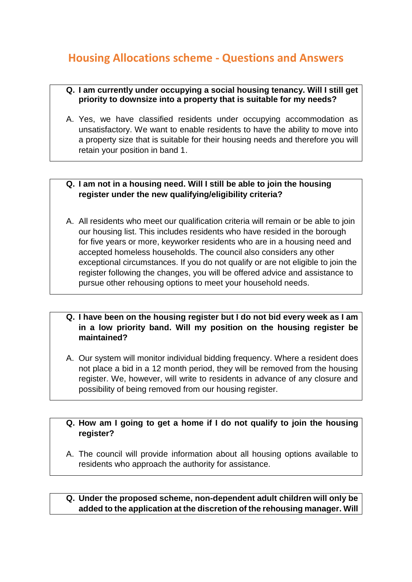# **Housing Allocations scheme - Questions and Answers**

#### **Q. I am currently under occupying a social housing tenancy. Will I still get priority to downsize into a property that is suitable for my needs?**

A. Yes, we have classified residents under occupying accommodation as unsatisfactory. We want to enable residents to have the ability to move into a property size that is suitable for their housing needs and therefore you will retain your position in band 1.

# **Q. I am not in a housing need. Will I still be able to join the housing register under the new qualifying/eligibility criteria?**

A. All residents who meet our qualification criteria will remain or be able to join our housing list. This includes residents who have resided in the borough for five years or more, keyworker residents who are in a housing need and accepted homeless households. The council also considers any other exceptional circumstances. If you do not qualify or are not eligible to join the register following the changes, you will be offered advice and assistance to pursue other rehousing options to meet your household needs.

## **Q. I have been on the housing register but I do not bid every week as I am in a low priority band. Will my position on the housing register be maintained?**

A. Our system will monitor individual bidding frequency. Where a resident does not place a bid in a 12 month period, they will be removed from the housing register. We, however, will write to residents in advance of any closure and possibility of being removed from our housing register.

# **Q. How am I going to get a home if I do not qualify to join the housing register?**

A. The council will provide information about all housing options available to residents who approach the authority for assistance.

## **Q. Under the proposed scheme, non-dependent adult children will only be added to the application at the discretion of the rehousing manager. Will**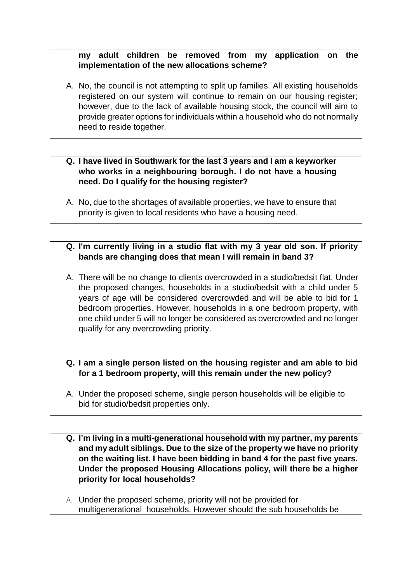## **my adult children be removed from my application on the implementation of the new allocations scheme?**

- A. No, the council is not attempting to split up families. All existing households registered on our system will continue to remain on our housing register; however, due to the lack of available housing stock, the council will aim to provide greater options for individuals within a household who do not normally need to reside together.
- **Q. I have lived in Southwark for the last 3 years and I am a keyworker who works in a neighbouring borough. I do not have a housing need. Do I qualify for the housing register?**
- A. No, due to the shortages of available properties, we have to ensure that priority is given to local residents who have a housing need.
- **Q. I'm currently living in a studio flat with my 3 year old son. If priority bands are changing does that mean I will remain in band 3?**
- A. There will be no change to clients overcrowded in a studio/bedsit flat. Under the proposed changes, households in a studio/bedsit with a child under 5 years of age will be considered overcrowded and will be able to bid for 1 bedroom properties. However, households in a one bedroom property, with one child under 5 will no longer be considered as overcrowded and no longer qualify for any overcrowding priority.

# **Q. I am a single person listed on the housing register and am able to bid for a 1 bedroom property, will this remain under the new policy?**

- A. Under the proposed scheme, single person households will be eligible to bid for studio/bedsit properties only.
- **Q. I'm living in a multi-generational household with my partner, my parents and my adult siblings. Due to the size of the property we have no priority on the waiting list. I have been bidding in band 4 for the past five years. Under the proposed Housing Allocations policy, will there be a higher priority for local households?**
- A. Under the proposed scheme, priority will not be provided for multigenerational households. However should the sub households be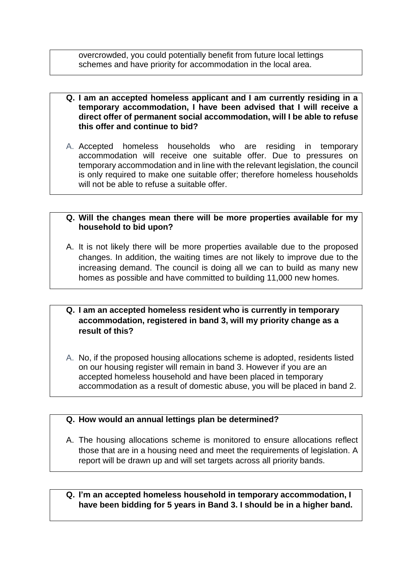overcrowded, you could potentially benefit from future local lettings schemes and have priority for accommodation in the local area.

- **Q. I am an accepted homeless applicant and I am currently residing in a temporary accommodation, I have been advised that I will receive a direct offer of permanent social accommodation, will I be able to refuse this offer and continue to bid?**
- A. Accepted homeless households who are residing in temporary accommodation will receive one suitable offer. Due to pressures on temporary accommodation and in line with the relevant legislation, the council is only required to make one suitable offer; therefore homeless households will not be able to refuse a suitable offer.

#### **Q. Will the changes mean there will be more properties available for my household to bid upon?**

A. It is not likely there will be more properties available due to the proposed changes. In addition, the waiting times are not likely to improve due to the increasing demand. The council is doing all we can to build as many new homes as possible and have committed to building 11,000 new homes.

### **Q. I am an accepted homeless resident who is currently in temporary accommodation, registered in band 3, will my priority change as a result of this?**

A. No, if the proposed housing allocations scheme is adopted, residents listed on our housing register will remain in band 3. However if you are an accepted homeless household and have been placed in temporary accommodation as a result of domestic abuse, you will be placed in band 2.

#### **Q. How would an annual lettings plan be determined?**

- A. The housing allocations scheme is monitored to ensure allocations reflect those that are in a housing need and meet the requirements of legislation. A report will be drawn up and will set targets across all priority bands.
- **Q. I'm an accepted homeless household in temporary accommodation, I have been bidding for 5 years in Band 3. I should be in a higher band.**